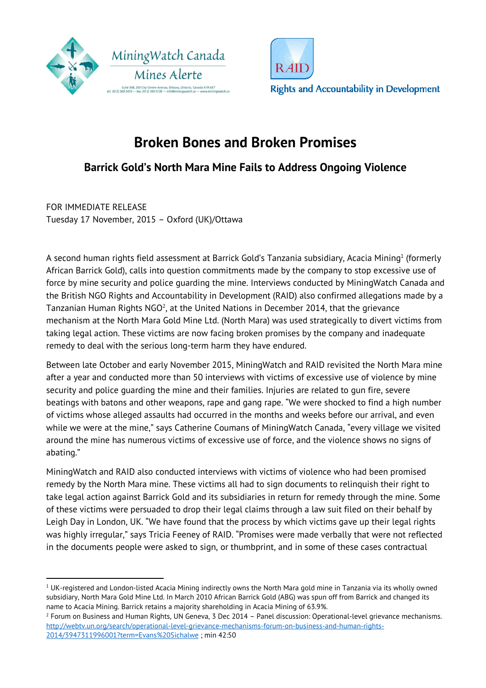



# **Broken Bones and Broken Promises**

## **Barrick Gold's North Mara Mine Fails to Address Ongoing Violence**

FOR IMMEDIATE RELEASE Tuesday 17 November, 2015 – Oxford (UK)/Ottawa

 $\overline{a}$ 

A second human rights field assessment at Barrick Gold's Tanzania subsidiary, Acacia Mining $^{\rm 1}$  (formerly African Barrick Gold), calls into question commitments made by the company to stop excessive use of force by mine security and police guarding the mine. Interviews conducted by MiningWatch Canada and the British NGO Rights and Accountability in Development (RAID) also confirmed allegations made by a Tanzanian Human Rights NGO<sup>2</sup>, at the United Nations in December 2014, that the grievance mechanism at the North Mara Gold Mine Ltd. (North Mara) was used strategically to divert victims from taking legal action. These victims are now facing broken promises by the company and inadequate remedy to deal with the serious long-term harm they have endured.

Between late October and early November 2015, MiningWatch and RAID revisited the North Mara mine after a year and conducted more than 50 interviews with victims of excessive use of violence by mine security and police guarding the mine and their families. Injuries are related to gun fire, severe beatings with batons and other weapons, rape and gang rape. "We were shocked to find a high number of victims whose alleged assaults had occurred in the months and weeks before our arrival, and even while we were at the mine," says Catherine Coumans of MiningWatch Canada, "every village we visited around the mine has numerous victims of excessive use of force, and the violence shows no signs of abating."

MiningWatch and RAID also conducted interviews with victims of violence who had been promised remedy by the North Mara mine. These victims all had to sign documents to relinquish their right to take legal action against Barrick Gold and its subsidiaries in return for remedy through the mine. Some of these victims were persuaded to drop their legal claims through a law suit filed on their behalf by Leigh Day in London, UK. "We have found that the process by which victims gave up their legal rights was highly irregular," says Tricia Feeney of RAID. "Promises were made verbally that were not reflected in the documents people were asked to sign, or thumbprint, and in some of these cases contractual

 $^{\rm 1}$  UK-registered and London-listed Acacia Mining indirectly owns the North Mara gold mine in Tanzania via its wholly owned subsidiary, North Mara Gold Mine Ltd. In March 2010 African Barrick Gold (ABG) was spun off from Barrick and changed its name to Acacia Mining. Barrick retains a majority shareholding in Acacia Mining of 63.9%.

<sup>2</sup> Forum on Business and Human Rights, UN Geneva, 3 Dec 2014 – Panel discussion: Operational-level grievance mechanisms. http://webtv.un.org/search/operational-level-grievance-mechanisms-forum-on-business-and-human-rights-2014/3947311996001?term=Evans%20Sichalwe ; min 42:50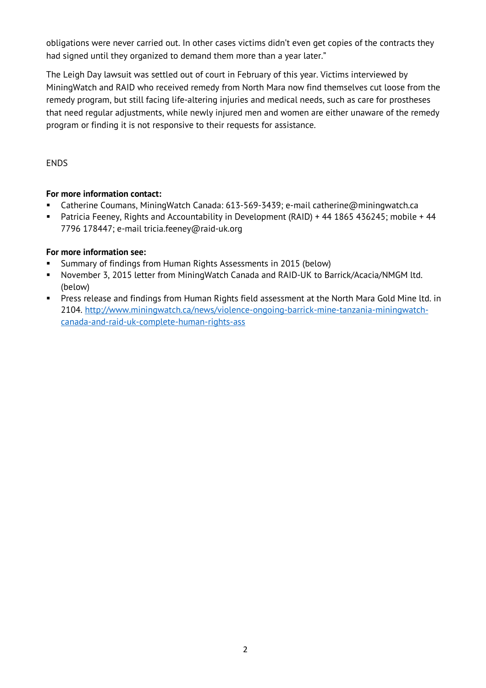obligations were never carried out. In other cases victims didn't even get copies of the contracts they had signed until they organized to demand them more than a year later."

The Leigh Day lawsuit was settled out of court in February of this year. Victims interviewed by MiningWatch and RAID who received remedy from North Mara now find themselves cut loose from the remedy program, but still facing life-altering injuries and medical needs, such as care for prostheses that need regular adjustments, while newly injured men and women are either unaware of the remedy program or finding it is not responsive to their requests for assistance.

ENDS

### **For more information contact:**

- Catherine Coumans, MiningWatch Canada: 613-569-3439; e-mail catherine@miningwatch.ca
- Patricia Feeney, Rights and Accountability in Development (RAID) + 44 1865 436245; mobile + 44 7796 178447; e-mail tricia.feeney@raid-uk.org

### **For more information see:**

- Summary of findings from Human Rights Assessments in 2015 (below)
- November 3, 2015 letter from MiningWatch Canada and RAID-UK to Barrick/Acacia/NMGM ltd. (below)
- Press release and findings from Human Rights field assessment at the North Mara Gold Mine ltd. in 2104. http://www.miningwatch.ca/news/violence-ongoing-barrick-mine-tanzania-miningwatchcanada-and-raid-uk-complete-human-rights-ass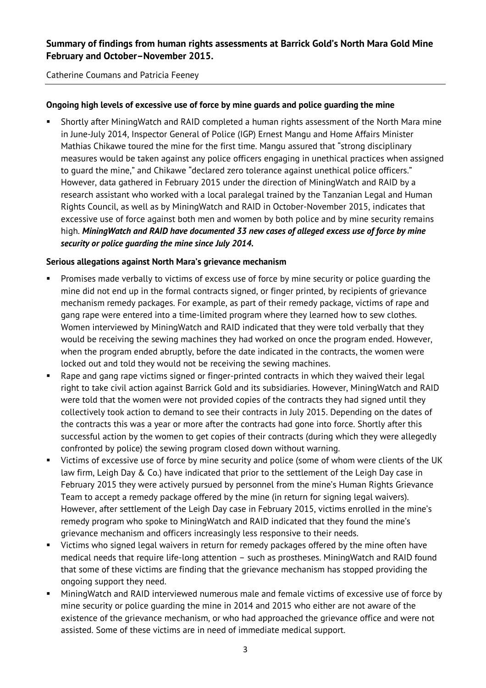### **Summary of findings from human rights assessments at Barrick Gold's North Mara Gold Mine February and October–November 2015.**

Catherine Coumans and Patricia Feeney

#### **Ongoing high levels of excessive use of force by mine guards and police guarding the mine**

 Shortly after MiningWatch and RAID completed a human rights assessment of the North Mara mine in June-July 2014, Inspector General of Police (IGP) Ernest Mangu and Home Affairs Minister Mathias Chikawe toured the mine for the first time. Mangu assured that "strong disciplinary measures would be taken against any police officers engaging in unethical practices when assigned to guard the mine," and Chikawe "declared zero tolerance against unethical police officers." However, data gathered in February 2015 under the direction of MiningWatch and RAID by a research assistant who worked with a local paralegal trained by the Tanzanian Legal and Human Rights Council, as well as by MiningWatch and RAID in October-November 2015, indicates that excessive use of force against both men and women by both police and by mine security remains high. *MiningWatch and RAID have documented 33 new cases of alleged excess use of force by mine security or police guarding the mine since July 2014.* 

#### **Serious allegations against North Mara's grievance mechanism**

- Promises made verbally to victims of excess use of force by mine security or police guarding the mine did not end up in the formal contracts signed, or finger printed, by recipients of grievance mechanism remedy packages. For example, as part of their remedy package, victims of rape and gang rape were entered into a time-limited program where they learned how to sew clothes. Women interviewed by MiningWatch and RAID indicated that they were told verbally that they would be receiving the sewing machines they had worked on once the program ended. However, when the program ended abruptly, before the date indicated in the contracts, the women were locked out and told they would not be receiving the sewing machines.
- Rape and gang rape victims signed or finger-printed contracts in which they waived their legal right to take civil action against Barrick Gold and its subsidiaries. However, MiningWatch and RAID were told that the women were not provided copies of the contracts they had signed until they collectively took action to demand to see their contracts in July 2015. Depending on the dates of the contracts this was a year or more after the contracts had gone into force. Shortly after this successful action by the women to get copies of their contracts (during which they were allegedly confronted by police) the sewing program closed down without warning.
- Victims of excessive use of force by mine security and police (some of whom were clients of the UK law firm, Leigh Day & Co.) have indicated that prior to the settlement of the Leigh Day case in February 2015 they were actively pursued by personnel from the mine's Human Rights Grievance Team to accept a remedy package offered by the mine (in return for signing legal waivers). However, after settlement of the Leigh Day case in February 2015, victims enrolled in the mine's remedy program who spoke to MiningWatch and RAID indicated that they found the mine's grievance mechanism and officers increasingly less responsive to their needs.
- **URICT Victims who signed legal waivers in return for remedy packages offered by the mine often have** medical needs that require life-long attention – such as prostheses. MiningWatch and RAID found that some of these victims are finding that the grievance mechanism has stopped providing the ongoing support they need.
- MiningWatch and RAID interviewed numerous male and female victims of excessive use of force by mine security or police guarding the mine in 2014 and 2015 who either are not aware of the existence of the grievance mechanism, or who had approached the grievance office and were not assisted. Some of these victims are in need of immediate medical support.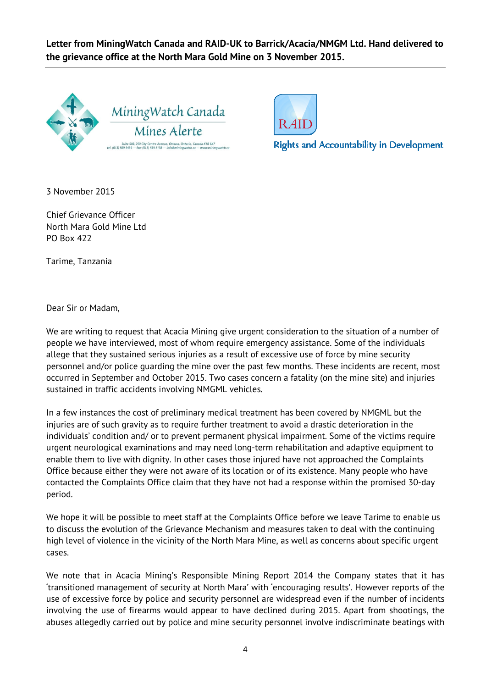**Letter from MiningWatch Canada and RAID-UK to Barrick/Acacia/NMGM Ltd. Hand delivered to the grievance office at the North Mara Gold Mine on 3 November 2015.** 





**Rights and Accountability in Development** 

3 November 2015

Chief Grievance Officer North Mara Gold Mine Ltd PO Box 422

Tarime, Tanzania

Dear Sir or Madam,

We are writing to request that Acacia Mining give urgent consideration to the situation of a number of people we have interviewed, most of whom require emergency assistance. Some of the individuals allege that they sustained serious injuries as a result of excessive use of force by mine security personnel and/or police guarding the mine over the past few months. These incidents are recent, most occurred in September and October 2015. Two cases concern a fatality (on the mine site) and injuries sustained in traffic accidents involving NMGML vehicles.

In a few instances the cost of preliminary medical treatment has been covered by NMGML but the injuries are of such gravity as to require further treatment to avoid a drastic deterioration in the individuals' condition and/ or to prevent permanent physical impairment. Some of the victims require urgent neurological examinations and may need long-term rehabilitation and adaptive equipment to enable them to live with dignity. In other cases those injured have not approached the Complaints Office because either they were not aware of its location or of its existence. Many people who have contacted the Complaints Office claim that they have not had a response within the promised 30-day period.

We hope it will be possible to meet staff at the Complaints Office before we leave Tarime to enable us to discuss the evolution of the Grievance Mechanism and measures taken to deal with the continuing high level of violence in the vicinity of the North Mara Mine, as well as concerns about specific urgent cases.

We note that in Acacia Mining's Responsible Mining Report 2014 the Company states that it has 'transitioned management of security at North Mara' with 'encouraging results'. However reports of the use of excessive force by police and security personnel are widespread even if the number of incidents involving the use of firearms would appear to have declined during 2015. Apart from shootings, the abuses allegedly carried out by police and mine security personnel involve indiscriminate beatings with